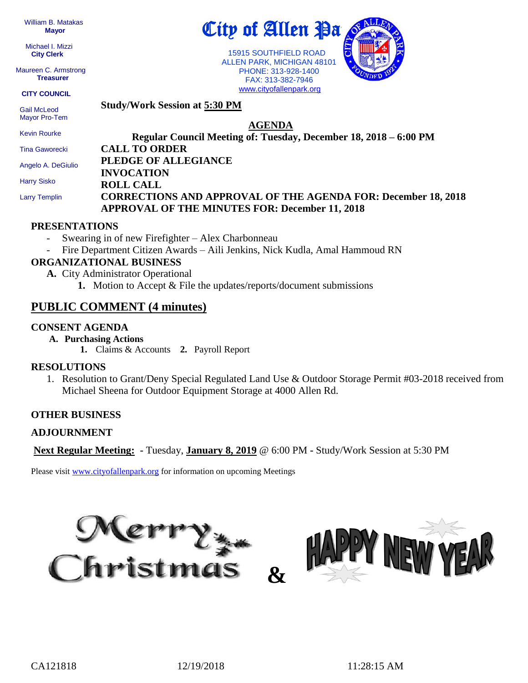William B. Matakas  **Mayor**

 Michael I. Mizzi **City Clerk**

Maureen C. Armstrong **Treasurer**

**CITY COUNCIL**

 Gail McLeod Mayor Pro-Tem

Kevin Rourke

Tina Gaworecki Angelo A. DeGiulio

**AGENDA Regular Council Meeting of: Tuesday, December 18, 2018 – 6:00 PM CALL TO ORDER PLEDGE OF ALLEGIANCE INVOCATION ROLL CALL**

 Harry Sisko Larry Templin

# **CORRECTIONS AND APPROVAL OF THE AGENDA FOR: December 18, 2018 APPROVAL OF THE MINUTES FOR: December 11, 2018**

#### **PRESENTATIONS**

Swearing in of new Firefighter – Alex Charbonneau

**Study/Work Session at 5:30 PM**

- Fire Department Citizen Awards – Aili Jenkins, Nick Kudla, Amal Hammoud RN

### **ORGANIZATIONAL BUSINESS**

- **A.** City Administrator Operational
	- **1.** Motion to Accept & File the updates/reports/document submissions

## **PUBLIC COMMENT (4 minutes)**

#### **CONSENT AGENDA**

- **A. Purchasing Actions**
	- **1.** Claims & Accounts **2.** Payroll Report

#### **RESOLUTIONS**

1. Resolution to Grant/Deny Special Regulated Land Use & Outdoor Storage Permit #03-2018 received from Michael Sheena for Outdoor Equipment Storage at 4000 Allen Rd.

#### **OTHER BUSINESS**

#### **ADJOURNMENT**

**Next Regular Meeting: -** Tuesday, **January 8, 2019** @ 6:00 PM **-** Study/Work Session at 5:30 PM

Please visit [www.cityofallenpark.org](http://www.cityofallenpark.org/) for information on upcoming Meetings







 15915 SOUTHFIELD ROAD ALLEN PARK, MICHIGAN 48101 PHONE: 313-928-1400 FAX: 313-382-7946 [www.cityofallenpark.org](http://www.cityofallenpark.org/)